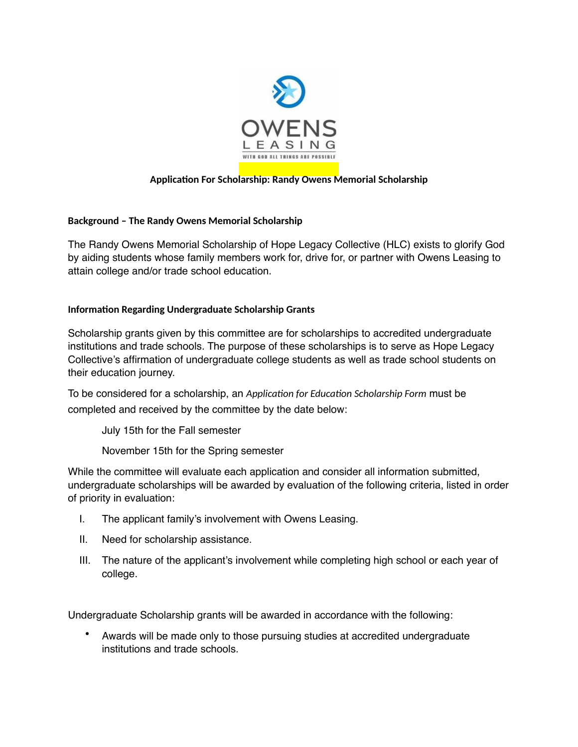

## **Application For Scholarship: Randy Owens Memorial Scholarship**

## **Background – The Randy Owens Memorial Scholarship**

The Randy Owens Memorial Scholarship of Hope Legacy Collective (HLC) exists to glorify God by aiding students whose family members work for, drive for, or partner with Owens Leasing to attain college and/or trade school education.

## **Information Regarding Undergraduate Scholarship Grants**

Scholarship grants given by this committee are for scholarships to accredited undergraduate institutions and trade schools. The purpose of these scholarships is to serve as Hope Legacy Collective's affirmation of undergraduate college students as well as trade school students on their education journey.

To be considered for a scholarship, an *Application for Education Scholarship Form* must be completed and received by the committee by the date below:

July 15th for the Fall semester

November 15th for the Spring semester

While the committee will evaluate each application and consider all information submitted, undergraduate scholarships will be awarded by evaluation of the following criteria, listed in order of priority in evaluation:

- I. The applicant family's involvement with Owens Leasing.
- II. Need for scholarship assistance.
- III. The nature of the applicant's involvement while completing high school or each year of college.

Undergraduate Scholarship grants will be awarded in accordance with the following:

• Awards will be made only to those pursuing studies at accredited undergraduate institutions and trade schools.